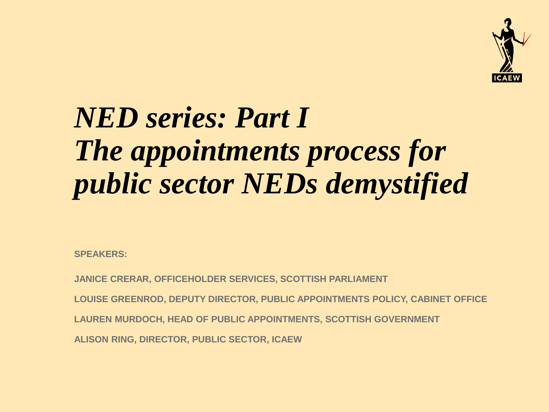

## *NED series: Part I The appointments process for public sector NEDs demystified*

**SPEAKERS:** 

**JANICE CRERAR, OFFICEHOLDER SERVICES, SCOTTISH PARLIAMENT LOUISE GREENROD, DEPUTY DIRECTOR, PUBLIC APPOINTMENTS POLICY, CABINET OFFICE LAUREN MURDOCH, HEAD OF PUBLIC APPOINTMENTS, SCOTTISH GOVERNMENT ALISON RING, DIRECTOR, PUBLIC SECTOR, ICAEW**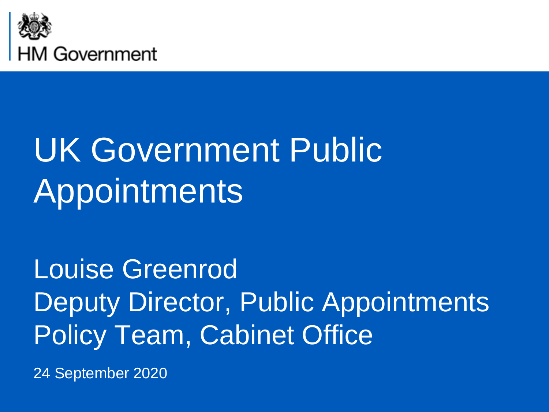

# UK Government Public **Appointments**

Louise Greenrod Deputy Director, Public Appointments Policy Team, Cabinet Office

24 September 2020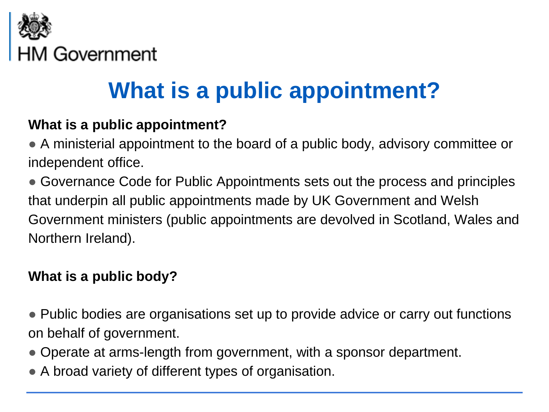

### **What is a public appointment?**

#### **What is a public appointment?**

● A ministerial appointment to the board of a public body, advisory committee or independent office.

• Governance Code for Public Appointments sets out the process and principles that underpin all public appointments made by UK Government and Welsh Government ministers (public appointments are devolved in Scotland, Wales and Northern Ireland).

#### **What is a public body?**

• Public bodies are organisations set up to provide advice or carry out functions on behalf of government.

- Operate at arms-length from government, with a sponsor department.
- A broad variety of different types of organisation.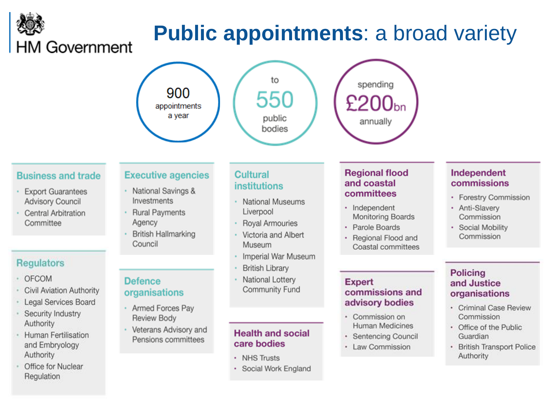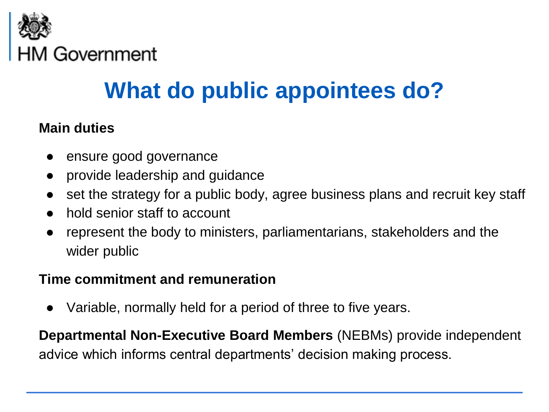

### **What do public appointees do?**

#### **Main duties**

- ensure good governance
- provide leadership and guidance
- set the strategy for a public body, agree business plans and recruit key staff
- hold senior staff to account
- represent the body to ministers, parliamentarians, stakeholders and the wider public

#### **Time commitment and remuneration**

Variable, normally held for a period of three to five years.

**Departmental Non-Executive Board Members** (NEBMs) provide independent advice which informs central departments' decision making process.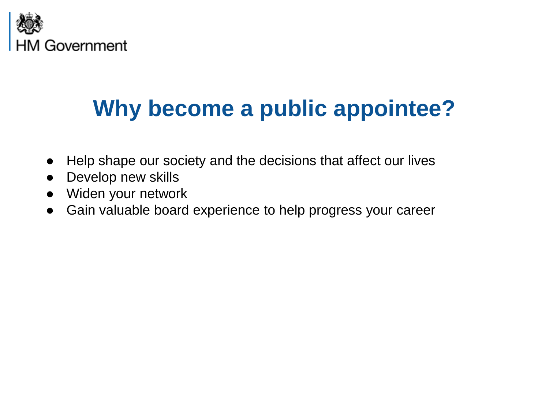

### **Why become a public appointee?**

- Help shape our society and the decisions that affect our lives
- Develop new skills
- Widen your network
- Gain valuable board experience to help progress your career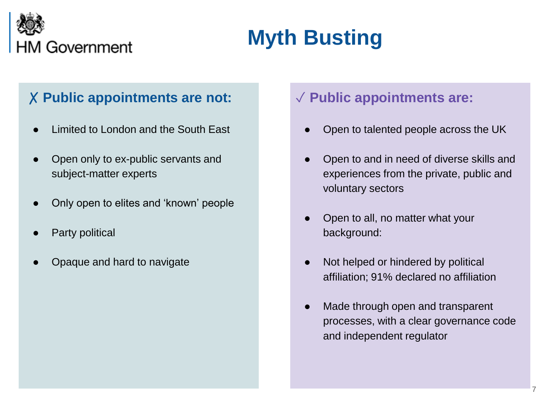

### **Myth Busting**

#### ✗ **Public appointments are not:**

- Limited to London and the South East
- Open only to ex-public servants and subject-matter experts
- Only open to elites and 'known' people
- Party political
- Opaque and hard to navigate

#### ✓ **Public appointments are:**

- Open to talented people across the UK
- Open to and in need of diverse skills and experiences from the private, public and voluntary sectors
- Open to all, no matter what your background:
- Not helped or hindered by political affiliation; 91% declared no affiliation
- Made through open and transparent processes, with a clear governance code and independent regulator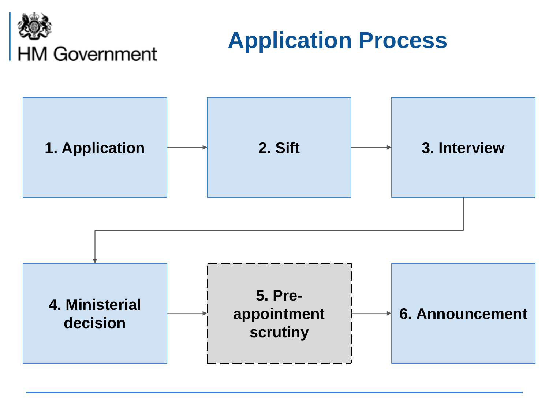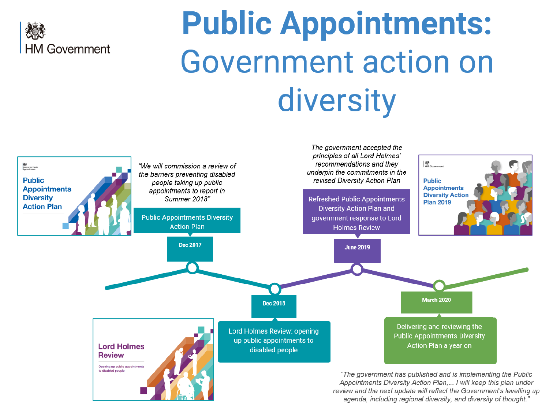

# **Public Appointments: Government action on** diversity

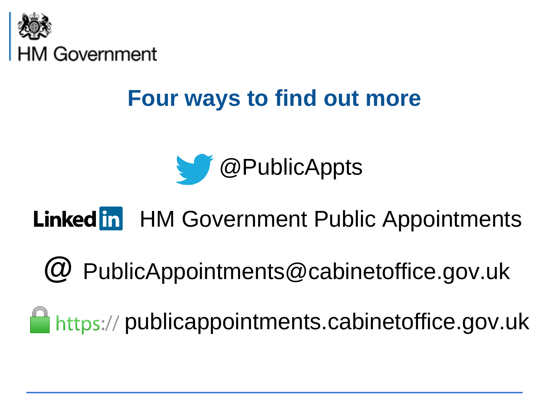

### **Four ways to find out more**



### Linked in HM Government Public Appointments

PublicAppointments@cabinetoffice.gov.uk **@**

https:// publicappointments.cabinetoffice.gov.uk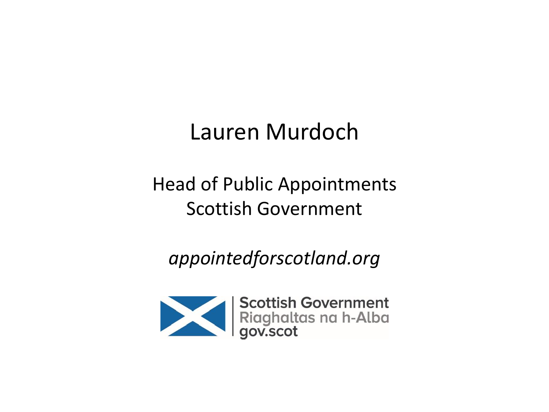### Lauren Murdoch

#### Head of Public Appointments Scottish Government

*appointedforscotland.org*

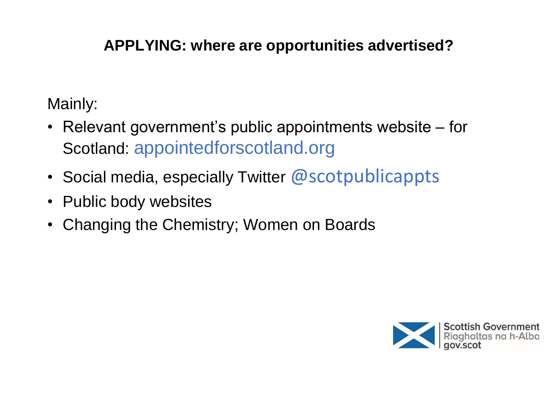#### **APPLYING: where are opportunities advertised?**

Mainly:

- Relevant government's public appointments website for Scotland: appointedforscotland.org
- Social media, especially Twitter  $@$  scotpublicappts
- Public body websites
- Changing the Chemistry; Women on Boards

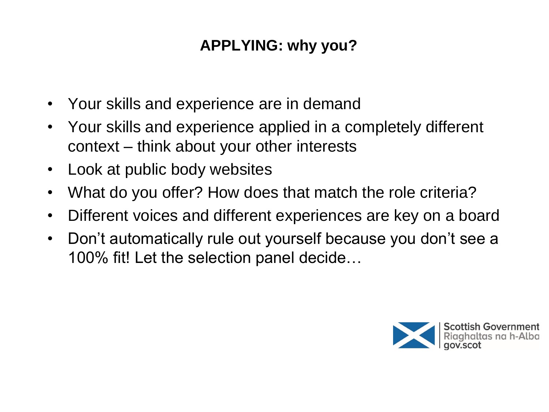#### **APPLYING: why you?**

- Your skills and experience are in demand
- Your skills and experience applied in a completely different context – think about your other interests
- Look at public body websites
- What do you offer? How does that match the role criteria?
- Different voices and different experiences are key on a board
- Don't automatically rule out yourself because you don't see a 100% fit! Let the selection panel decide…

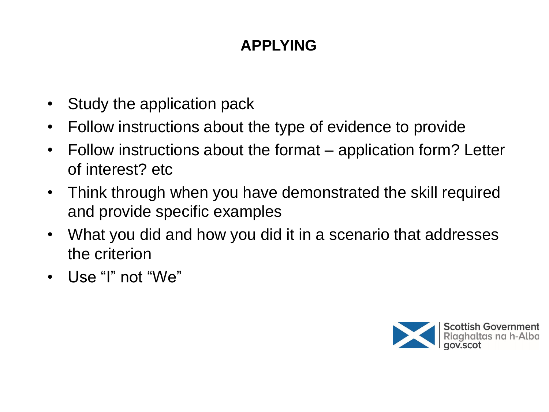#### **APPLYING**

- Study the application pack
- Follow instructions about the type of evidence to provide
- Follow instructions about the format application form? Letter of interest? etc
- Think through when you have demonstrated the skill required and provide specific examples
- What you did and how you did it in a scenario that addresses the criterion
- Use "I" not "We"

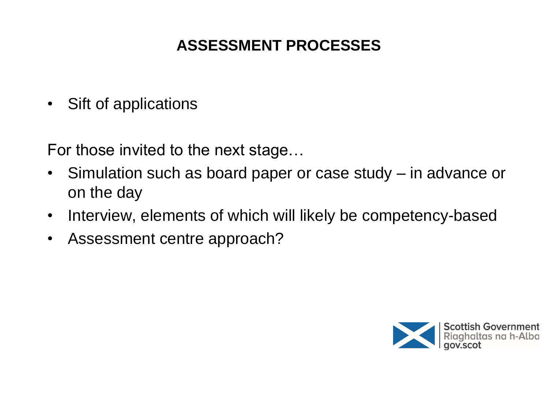#### **ASSESSMENT PROCESSES**

• Sift of applications

For those invited to the next stage…

- Simulation such as board paper or case study in advance or on the day
- Interview, elements of which will likely be competency-based
- Assessment centre approach?

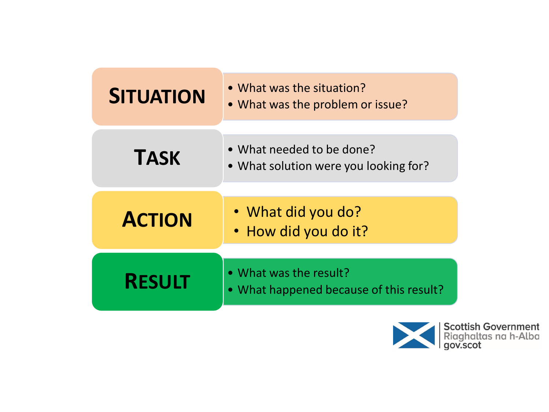| <b>SITUATION</b> | • What was the situation?<br>• What was the problem or issue?      |
|------------------|--------------------------------------------------------------------|
| <b>TASK</b>      | • What needed to be done?<br>• What solution were you looking for? |
| <b>ACTION</b>    | · What did you do?<br>· How did you do it?                         |
| <b>RESULT</b>    | • What was the result?<br>• What happened because of this result?  |

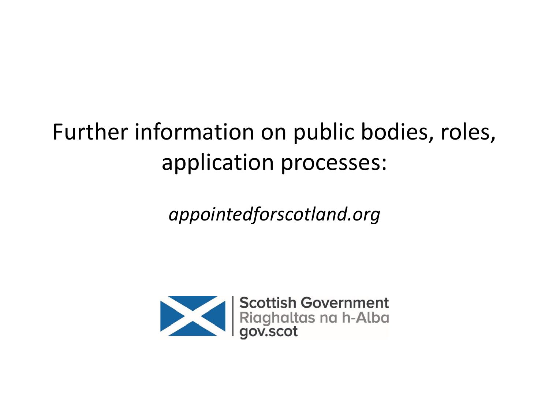### Further information on public bodies, roles, application processes:

*appointedforscotland.org*

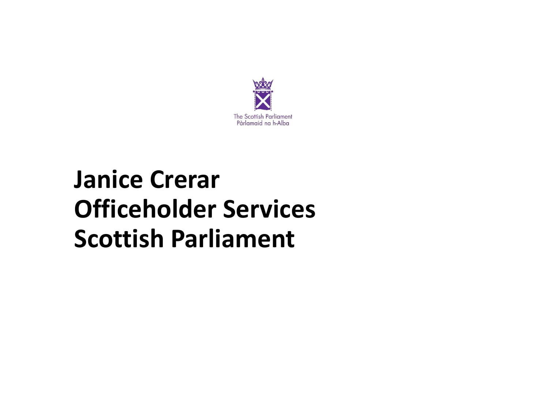

### **Janice Crerar Officeholder Services Scottish Parliament**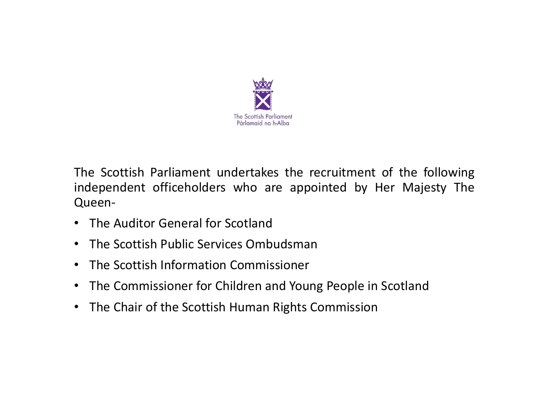

The Scottish Parliament undertakes the recruitment of the following independent officeholders who are appointed by Her Majesty The Queen-

- The Auditor General for Scotland
- The Scottish Public Services Ombudsman
- The Scottish Information Commissioner
- The Commissioner for Children and Young People in Scotland
- The Chair of the Scottish Human Rights Commission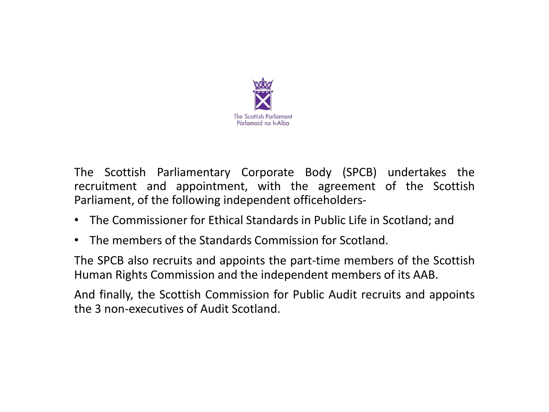

The Scottish Parliamentary Corporate Body (SPCB) undertakes the recruitment and appointment, with the agreement of the Scottish Parliament, of the following independent officeholders-

- The Commissioner for Ethical Standards in Public Life in Scotland; and
- The members of the Standards Commission for Scotland.

The SPCB also recruits and appoints the part-time members of the Scottish Human Rights Commission and the independent members of its AAB.

And finally, the Scottish Commission for Public Audit recruits and appoints the 3 non-executives of Audit Scotland.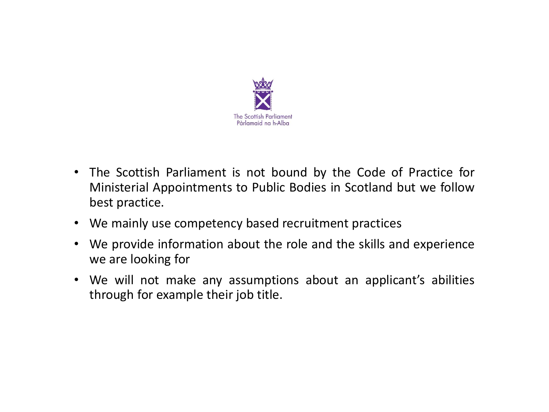

- The Scottish Parliament is not bound by the Code of Practice for Ministerial Appointments to Public Bodies in Scotland but we follow best practice.
- We mainly use competency based recruitment practices
- We provide information about the role and the skills and experience we are looking for
- We will not make any assumptions about an applicant's abilities through for example their job title.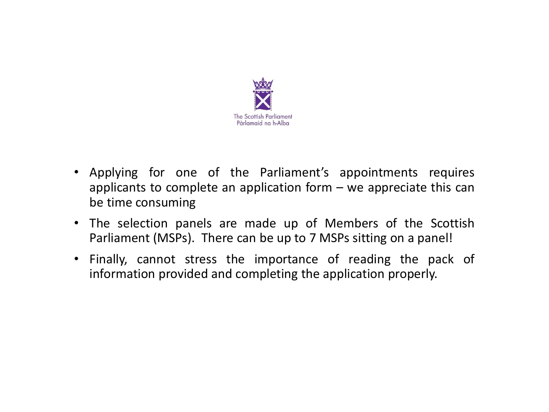

- Applying for one of the Parliament's appointments requires applicants to complete an application form  $-$  we appreciate this can be time consuming
- The selection panels are made up of Members of the Scottish Parliament (MSPs). There can be up to 7 MSPs sitting on a panel!
- Finally, cannot stress the importance of reading the pack of information provided and completing the application properly.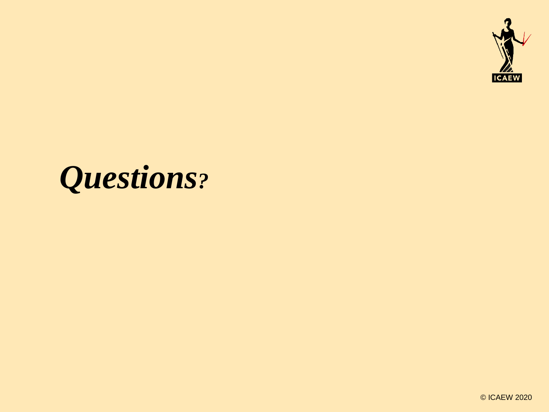

## *Questions?*

© ICAEW 2020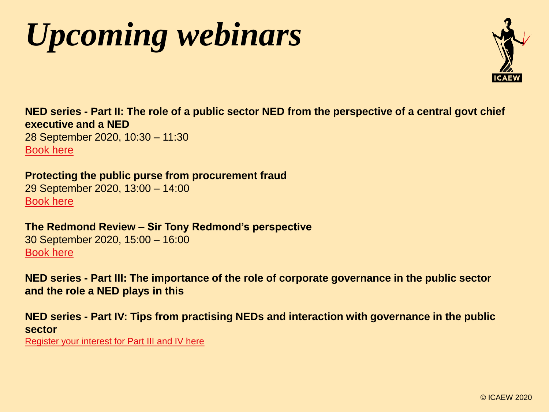# *Upcoming webinars*



**NED series - Part II: The role of a public sector NED from the perspective of a central govt chief executive and a NED** 28 September 2020, 10:30 – 11:30 [Book here](https://events.icaew.com/pd/18126/part-ii-acting-as-a-ned-in-the-public-sector-28-september?diid=18139#Detail)

**Protecting the public purse from procurement fraud** 29 September 2020, 13:00 – 14:00 [Book here](https://events.icaew.com/pd/18100/protecting-the-public-purse-from-procurement-fraud)

**The Redmond Review – Sir Tony Redmond's perspective** 30 September 2020, 15:00 – 16:00 [Book here](https://events.icaew.com/pd/18054/the-redmond-review-sir-tony-redmonds-perspective)

**NED series - Part III: The importance of the role of corporate governance in the public sector and the role a NED plays in this**

**NED series - Part IV: Tips from practising NEDs and interaction with governance in the public sector**

[Register your interest for Part III and IV here](https://events.icaew.com/pd/18126?diid=18140#Detail)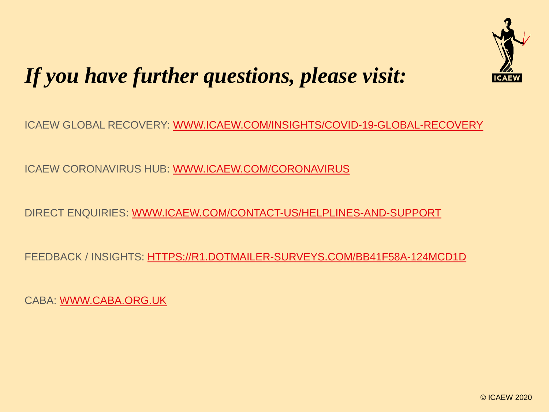

### *If you have further questions, please visit:*

ICAEW GLOBAL RECOVERY: [WWW.ICAEW.COM/INSIGHTS/COVID-19-GLOBAL-RECOVERY](http://www.icaew.com/insights/covid-19-global-recovery)

ICAEW CORONAVIRUS HUB: [WWW.ICAEW.COM/CORONAVIRUS](http://www.icaew.com/coronavirus)

DIRECT ENQUIRIES: [WWW.ICAEW.COM/CONTACT-US/HELPLINES-AND-SUPPORT](http://www.icaew.com/contact-us/helplines-and-support)

FEEDBACK / INSIGHTS: [HTTPS://R1.DOTMAILER-SURVEYS.COM/BB41F58A-124MCD1D](https://r1.dotmailer-surveys.com/bb41f58a-124mcd1d)

CABA: [WWW.CABA.ORG.UK](http://www.caba.org.uk/)